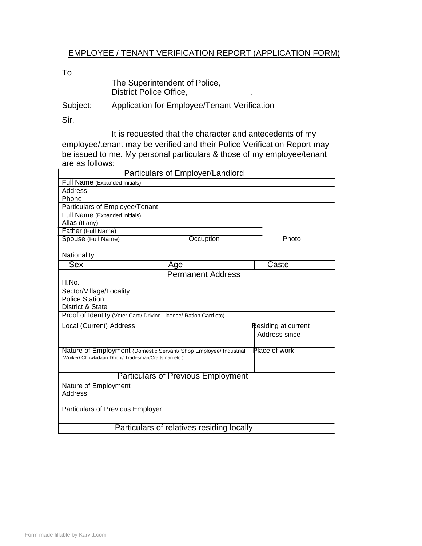## EMPLOYEE / TENANT VERIFICATION REPORT (APPLICATION FORM)

To

| The Superintendent of Police, |  |
|-------------------------------|--|
| District Police Office,       |  |

Subject: Application for Employee/Tenant Verification

Sir,

It is requested that the character and antecedents of my employee/tenant may be verified and their Police Verification Report may be issued to me. My personal particulars & those of my employee/tenant are as follows:

| Particulars of Employer/Landlord                                  |     |                          |                     |       |  |
|-------------------------------------------------------------------|-----|--------------------------|---------------------|-------|--|
| Full Name (Expanded Initials)                                     |     |                          |                     |       |  |
| Address                                                           |     |                          |                     |       |  |
| Phone                                                             |     |                          |                     |       |  |
| Particulars of Employee/Tenant                                    |     |                          |                     |       |  |
| Full Name (Expanded Initials)                                     |     |                          |                     |       |  |
| Alias (If any)                                                    |     |                          |                     |       |  |
| Father (Full Name)                                                |     |                          |                     |       |  |
| Spouse (Full Name)                                                |     | Occuption                |                     | Photo |  |
| Nationality                                                       |     |                          |                     |       |  |
| <b>Sex</b>                                                        | Age |                          |                     | Caste |  |
|                                                                   |     | <b>Permanent Address</b> |                     |       |  |
| H.No.                                                             |     |                          |                     |       |  |
| Sector/Village/Locality                                           |     |                          |                     |       |  |
| <b>Police Station</b>                                             |     |                          |                     |       |  |
| District & State                                                  |     |                          |                     |       |  |
| Proof of Identity (Voter Card/ Driving Licence/ Ration Card etc)  |     |                          |                     |       |  |
| Local (Current) Address                                           |     |                          | Residing at current |       |  |
|                                                                   |     |                          | Address since       |       |  |
|                                                                   |     |                          |                     |       |  |
| Nature of Employment (Domestic Servant/ Shop Employee/ Industrial |     |                          | Place of work       |       |  |
| Worker/ Chowkidaar/ Dhobi/ Tradesman/Craftsman etc.)              |     |                          |                     |       |  |
|                                                                   |     |                          |                     |       |  |
| <b>Particulars of Previous Employment</b>                         |     |                          |                     |       |  |
| Nature of Employment                                              |     |                          |                     |       |  |
| Address                                                           |     |                          |                     |       |  |
|                                                                   |     |                          |                     |       |  |
| Particulars of Previous Employer                                  |     |                          |                     |       |  |
|                                                                   |     |                          |                     |       |  |
| Particulars of relatives residing locally                         |     |                          |                     |       |  |